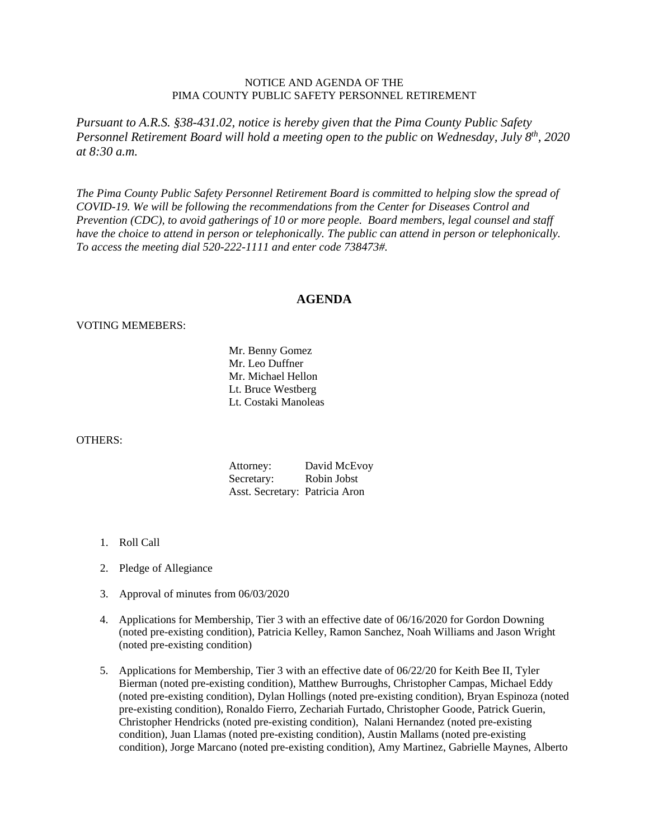## NOTICE AND AGENDA OF THE PIMA COUNTY PUBLIC SAFETY PERSONNEL RETIREMENT

*Pursuant to A.R.S. §38-431.02, notice is hereby given that the Pima County Public Safety Personnel Retirement Board will hold a meeting open to the public on Wednesday, July 8th, 2020 at 8:30 a.m.* 

*The Pima County Public Safety Personnel Retirement Board is committed to helping slow the spread of COVID-19. We will be following the recommendations from the Center for Diseases Control and Prevention (CDC), to avoid gatherings of 10 or more people. Board members, legal counsel and staff have the choice to attend in person or telephonically. The public can attend in person or telephonically. To access the meeting dial 520-222-1111 and enter code 738473#.*

## **AGENDA**

## VOTING MEMEBERS:

 Mr. Benny Gomez Mr. Leo Duffner Mr. Michael Hellon Lt. Bruce Westberg Lt. Costaki Manoleas

## OTHERS:

| Attorney:                      | David McEvoy |
|--------------------------------|--------------|
| Secretary:                     | Robin Jobst  |
| Asst. Secretary: Patricia Aron |              |

- 1. Roll Call
- 2. Pledge of Allegiance
- 3. Approval of minutes from 06/03/2020
- 4. Applications for Membership, Tier 3 with an effective date of 06/16/2020 for Gordon Downing (noted pre-existing condition), Patricia Kelley, Ramon Sanchez, Noah Williams and Jason Wright (noted pre-existing condition)
- 5. Applications for Membership, Tier 3 with an effective date of 06/22/20 for Keith Bee II, Tyler Bierman (noted pre-existing condition), Matthew Burroughs, Christopher Campas, Michael Eddy (noted pre-existing condition), Dylan Hollings (noted pre-existing condition), Bryan Espinoza (noted pre-existing condition), Ronaldo Fierro, Zechariah Furtado, Christopher Goode, Patrick Guerin, Christopher Hendricks (noted pre-existing condition), Nalani Hernandez (noted pre-existing condition), Juan Llamas (noted pre-existing condition), Austin Mallams (noted pre-existing condition), Jorge Marcano (noted pre-existing condition), Amy Martinez, Gabrielle Maynes, Alberto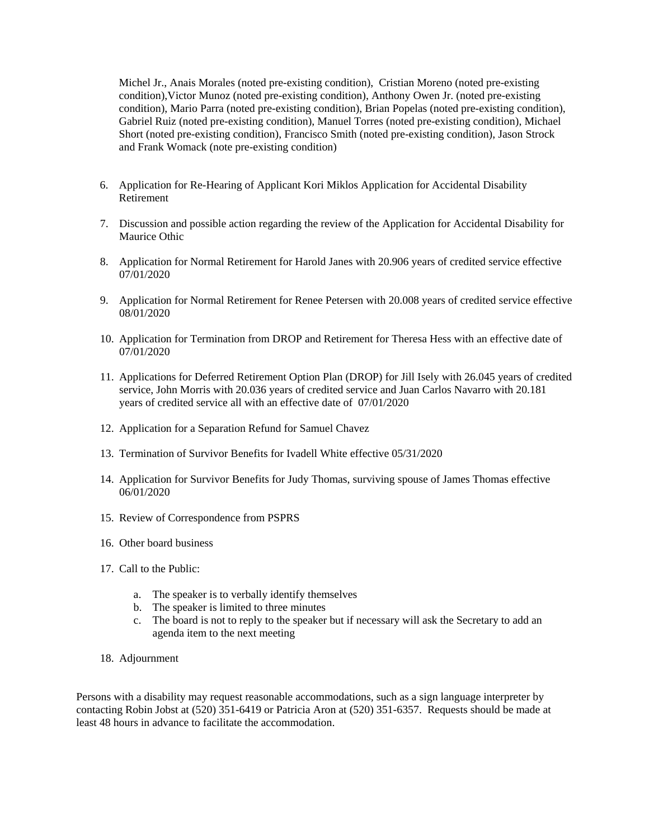Michel Jr., Anais Morales (noted pre-existing condition), Cristian Moreno (noted pre-existing condition),Victor Munoz (noted pre-existing condition), Anthony Owen Jr. (noted pre-existing condition), Mario Parra (noted pre-existing condition), Brian Popelas (noted pre-existing condition), Gabriel Ruiz (noted pre-existing condition), Manuel Torres (noted pre-existing condition), Michael Short (noted pre-existing condition), Francisco Smith (noted pre-existing condition), Jason Strock and Frank Womack (note pre-existing condition)

- 6. Application for Re-Hearing of Applicant Kori Miklos Application for Accidental Disability Retirement
- 7. Discussion and possible action regarding the review of the Application for Accidental Disability for Maurice Othic
- 8. Application for Normal Retirement for Harold Janes with 20.906 years of credited service effective 07/01/2020
- 9. Application for Normal Retirement for Renee Petersen with 20.008 years of credited service effective 08/01/2020
- 10. Application for Termination from DROP and Retirement for Theresa Hess with an effective date of 07/01/2020
- 11. Applications for Deferred Retirement Option Plan (DROP) for Jill Isely with 26.045 years of credited service, John Morris with 20.036 years of credited service and Juan Carlos Navarro with 20.181 years of credited service all with an effective date of 07/01/2020
- 12. Application for a Separation Refund for Samuel Chavez
- 13. Termination of Survivor Benefits for Ivadell White effective 05/31/2020
- 14. Application for Survivor Benefits for Judy Thomas, surviving spouse of James Thomas effective 06/01/2020
- 15. Review of Correspondence from PSPRS
- 16. Other board business
- 17. Call to the Public:
	- a. The speaker is to verbally identify themselves
	- b. The speaker is limited to three minutes
	- c. The board is not to reply to the speaker but if necessary will ask the Secretary to add an agenda item to the next meeting
- 18. Adjournment

Persons with a disability may request reasonable accommodations, such as a sign language interpreter by contacting Robin Jobst at (520) 351-6419 or Patricia Aron at (520) 351-6357. Requests should be made at least 48 hours in advance to facilitate the accommodation.